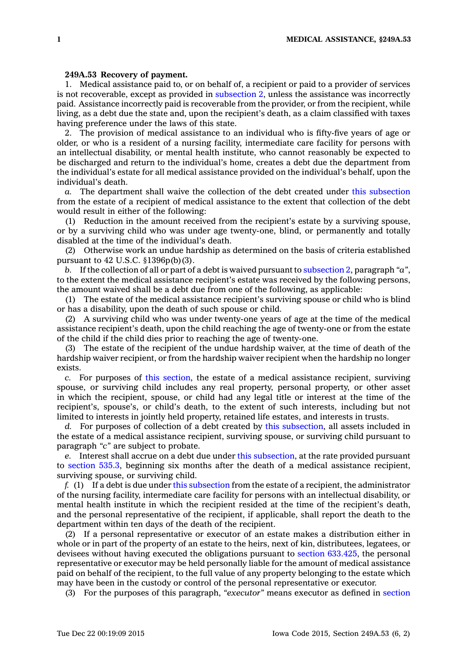## **249A.53 Recovery of payment.**

1. Medical assistance paid to, or on behalf of, <sup>a</sup> recipient or paid to <sup>a</sup> provider of services is not recoverable, except as provided in [subsection](https://www.legis.iowa.gov/docs/code//249A.53.pdf) 2, unless the assistance was incorrectly paid. Assistance incorrectly paid is recoverable from the provider, or from the recipient, while living, as <sup>a</sup> debt due the state and, upon the recipient's death, as <sup>a</sup> claim classified with taxes having preference under the laws of this state.

2. The provision of medical assistance to an individual who is fifty-five years of age or older, or who is <sup>a</sup> resident of <sup>a</sup> nursing facility, intermediate care facility for persons with an intellectual disability, or mental health institute, who cannot reasonably be expected to be discharged and return to the individual's home, creates <sup>a</sup> debt due the department from the individual's estate for all medical assistance provided on the individual's behalf, upon the individual's death.

*a.* The department shall waive the collection of the debt created under this [subsection](https://www.legis.iowa.gov/docs/code//249A.53.pdf) from the estate of <sup>a</sup> recipient of medical assistance to the extent that collection of the debt would result in either of the following:

(1) Reduction in the amount received from the recipient's estate by <sup>a</sup> surviving spouse, or by <sup>a</sup> surviving child who was under age twenty-one, blind, or permanently and totally disabled at the time of the individual's death.

(2) Otherwise work an undue hardship as determined on the basis of criteria established pursuant to 42 U.S.C. §1396p(b)(3).

*b.* If the collection of all or part of <sup>a</sup> debt is waived pursuant to [subsection](https://www.legis.iowa.gov/docs/code//249A.53.pdf) 2, paragraph *"a"*, to the extent the medical assistance recipient's estate was received by the following persons, the amount waived shall be <sup>a</sup> debt due from one of the following, as applicable:

(1) The estate of the medical assistance recipient's surviving spouse or child who is blind or has <sup>a</sup> disability, upon the death of such spouse or child.

(2) A surviving child who was under twenty-one years of age at the time of the medical assistance recipient's death, upon the child reaching the age of twenty-one or from the estate of the child if the child dies prior to reaching the age of twenty-one.

(3) The estate of the recipient of the undue hardship waiver, at the time of death of the hardship waiver recipient, or from the hardship waiver recipient when the hardship no longer exists.

*c.* For purposes of this [section](https://www.legis.iowa.gov/docs/code//249A.53.pdf), the estate of <sup>a</sup> medical assistance recipient, surviving spouse, or surviving child includes any real property, personal property, or other asset in which the recipient, spouse, or child had any legal title or interest at the time of the recipient's, spouse's, or child's death, to the extent of such interests, including but not limited to interests in jointly held property, retained life estates, and interests in trusts.

*d.* For purposes of collection of <sup>a</sup> debt created by this [subsection](https://www.legis.iowa.gov/docs/code//249A.53.pdf), all assets included in the estate of <sup>a</sup> medical assistance recipient, surviving spouse, or surviving child pursuant to paragraph *"c"* are subject to probate.

*e.* Interest shall accrue on <sup>a</sup> debt due under this [subsection](https://www.legis.iowa.gov/docs/code//249A.53.pdf), at the rate provided pursuant to [section](https://www.legis.iowa.gov/docs/code//535.3.pdf) 535.3, beginning six months after the death of <sup>a</sup> medical assistance recipient, surviving spouse, or surviving child.

*f.* (1) If <sup>a</sup> debt is due under this [subsection](https://www.legis.iowa.gov/docs/code//249A.53.pdf) from the estate of <sup>a</sup> recipient, the administrator of the nursing facility, intermediate care facility for persons with an intellectual disability, or mental health institute in which the recipient resided at the time of the recipient's death, and the personal representative of the recipient, if applicable, shall report the death to the department within ten days of the death of the recipient.

(2) If <sup>a</sup> personal representative or executor of an estate makes <sup>a</sup> distribution either in whole or in part of the property of an estate to the heirs, next of kin, distributees, legatees, or devisees without having executed the obligations pursuant to section [633.425](https://www.legis.iowa.gov/docs/code//633.425.pdf), the personal representative or executor may be held personally liable for the amount of medical assistance paid on behalf of the recipient, to the full value of any property belonging to the estate which may have been in the custody or control of the personal representative or executor.

(3) For the purposes of this paragraph, *"executor"* means executor as defined in [section](https://www.legis.iowa.gov/docs/code//633.3.pdf)